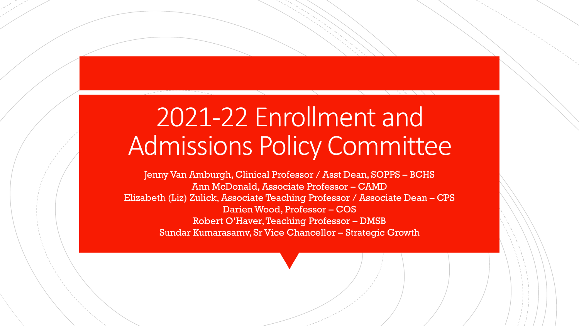# 2021-22 Enrollment and Admissions Policy Committee

Jenny Van Amburgh, Clinical Professor / Asst Dean, SOPPS – BCHS Ann McDonald, Associate Professor – CAMD Elizabeth (Liz) Zulick, Associate Teaching Professor / Associate Dean – CPS Darien Wood, Professor – COS Robert O'Haver, Teaching Professor – DMSB Sundar Kumarasamv, Sr Vice Chancellor – Strategic Growth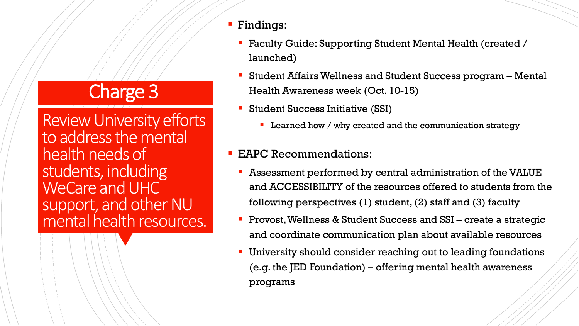## Charge 3

Review University efforts to address the mental health needs of students, including WeCare and UHC support, and other NU mental health resources.

- § Findings:
	- Faculty Guide: Supporting Student Mental Health (created / launched)
	- Student Affairs Wellness and Student Success program Mental Health Awareness week (Oct. 10-15)
	- Student Success Initiative (SSI)
		- Learned how / why created and the communication strategy

#### EAPC Recommendations:

- § Assessment performed by central administration of the VALUE and ACCESSIBILITY of the resources offered to students from the following perspectives (1) student, (2) staff and (3) faculty
- Provost, Wellness & Student Success and SSI create a strategic and coordinate communication plan about available resources
- University should consider reaching out to leading foundations (e.g. the JED Foundation) – offering mental health awareness programs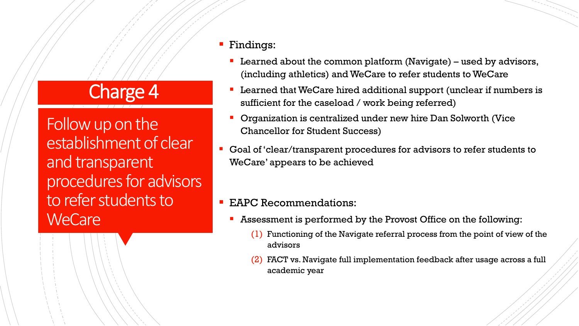### Charge 4

Follow up on the establishment of clear and transparent procedures for advisors to refer students to **WeCare** 

#### § Findings:

- **Learned about the common platform (Navigate) used by advisors,** (including athletics) and WeCare to refer students to WeCare
- Learned that WeCare hired additional support (unclear if numbers is sufficient for the caseload / work being referred)
- § Organization is centralized under new hire Dan Solworth (Vice Chancellor for Student Success)
- Goal of 'clear/transparent procedures for advisors to refer students to WeCare' appears to be achieved

#### EAPC Recommendations:

- Assessment is performed by the Provost Office on the following:
	- (1) Functioning of the Navigate referral process from the point of view of the advisors
	- (2) FACT vs. Navigate full implementation feedback after usage across a full academic year